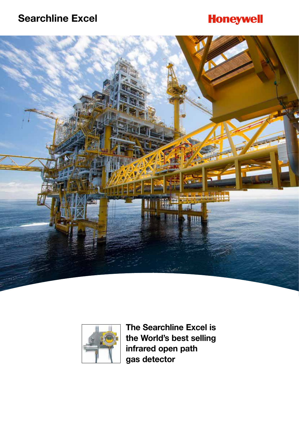## **Honeywell**





**The Searchline Excel is the World's best selling infrared open path gas detector**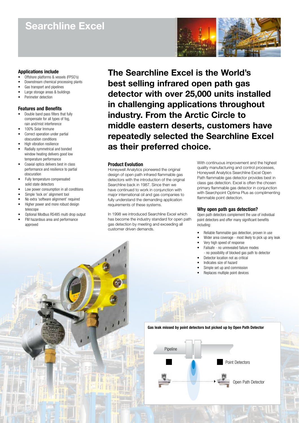

#### **Applications include**

- Offshore platforms & vessels (FPSO's)
- Downstream chemical processing plants
- Gas transport and pipelines • Large storage areas & buildings
- 
- Perimeter detection

#### **Features and Benefits**

- Double band pass filters that fully compensate for all types of fog, rain and/mist interference
- 100% Solar Immune
- Correct operation under partial obscuration conditions
- High vibration resilience
- Radially symmetrical and bonded window heating delivers good low temperature performance
- Coaxial optics delivers best in class performance and resilience to partial obscuration
- Fully temperature compensated solid state detectors
- Low power consumption in all conditions
- Simple 'lock on' alignment tool
- No extra 'software alignment' required
- Higher power and more robust design telescope
- Optional Modbus RS485 multi drop output
- FM hazardous area and performance approved

**The Searchline Excel is the World's best selling infrared open path gas detector with over 25,000 units installed in challenging applications throughout industry. From the Arctic Circle to middle eastern deserts, customers have repeatedly selected the Searchline Excel as their preferred choice.**

#### **Product Evolution**

Honeywell Analytics pioneered the original design of open path infrared flammable gas detectors with the introduction of the original Searchline back in 1987. Since then we have continued to work in conjunction with major international oil and gas companies to fully understand the demanding application requirements of these systems.

In 1998 we introduced Searchline Excel which has become the industry standard for open path gas detection by meeting and exceeding all customer driven demands.

With continuous improvement and the highest quality manufacturing and control processes, Honeywell Analytics Searchline Excel Open Path flammable gas detector provides best in class gas detection. Excel is often the chosen primary flammable gas detector in conjunction with Searchpoint Optima Plus as complimenting flammable point detection.

#### **Why open path gas detection?**

Open path detectors complement the use of individual point detectors and offer many significant benefits including:

- Reliable flammable gas detection, proven in use
- Wider area coverage most likely to pick up any leak
- Very high speed of response
- Failsafe no unrevealed failure modes
- no possibility of blocked gas path to detector
- Detector location not as critical
- Indicates size of hazard
- Simple set up and commission
- Replaces multiple point devices

**Gas leak missed by point detectors but picked up by Open Path Detector**

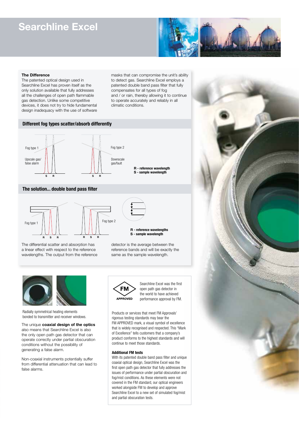

#### **The Difference**

The patented optical design used in Searchline Excel has proven itself as the only solution available that fully addresses all the challenges of open path flammable gas detection. Unlike some competitive devices, it does not try to hide fundamental design inadequacy with the use of software masks that can compromise the unit's ability to detect gas. Searchline Excel employs a patented double band pass filter that fully compensates for all types of fog and / or rain, thereby allowing it to continue to operate accurately and reliably in all climatic conditions.

#### **Different fog types scatter/absorb differently**



#### **The solution... double band pass filter**



The differential scatter and absorption has a linear effect with respect to the reference wavelengths. The output from the reference



detector is the average between the reference bands and will be exactly the same as the sample wavelength.



Radially symmetrical heating elements bonded to transmitter and receiver windows.

The unique **coaxial design of the optics** also means that Searchline Excel is also the only open path gas detector that can operate correctly under partial obscuration conditions without the possibility of generating a false alarm.

Non-coaxial instruments potentially suffer from differential attenuation that can lead to false alarms.

**FM** APPROVED Searchline Excel was the first open path gas detector in the world to have achieved performance approval by FM.

Products or services that meet FM Approvals' rigorous testing standards may bear the FM APPROVED mark, a visual symbol of excellence that is widely recognised and respected. This "Mark of Excellence" tells customers that a company's product conforms to the highest standards and will continue to meet those standards.

#### **Additional FM tests**

With its patented double band pass filter and unique coaxial optical design, Searchline Excel was the first open path gas detector that fully addresses the issues of performance under partial obscuration and fog/mist conditions. As these elements were not covered in the FM standard, our optical engineers worked alongside FM to develop and approve Searchline Excel to a new set of simulated fog/mist and partial obscuration tests.

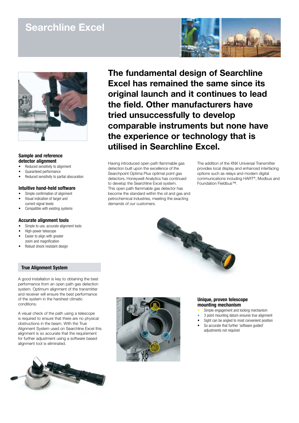



#### **Sample and reference detector alignment**

- Reduced sensitivity to alignment
- Guaranteed performance
- Reduced sensitivity to partial obscuration

#### **Intuitive hand-held software**

- Simple confirmation of alignment
- Visual indication of target and
- current signal levels
- Compatible with existing systems

#### **Accurate alignment tools**

- Simple to use, accurate alignment tools
- High-power telescope
- Easier to align with greater
- zoom and magnification
- Robust shock resistant design

#### **True Alignment System**

A good installation is key to obtaining the best performance from an open path gas detection system. Optimum alignment of the transmitter and receiver will ensure the best performance of the system in the harshest climatic conditions.

A visual check of the path using a telescope is required to ensure that there are no physical obstructions in the beam. With the True Alignment System used on Searchline Excel this alignment is so accurate that the requirement for further adjustment using a software based alignment tool is eliminated.



**The fundamental design of Searchline Excel has remained the same since its original launch and it continues to lead the field. Other manufacturers have tried unsuccessfully to develop comparable instruments but none have the experience or technology that is utilised in Searchline Excel.**

THE SEA

Having introduced open path flammable gas detection built upon the excellence of the Searchpoint Optima Plus optimal point gas detectors, Honeywell Analytics has continued to develop the Searchline Excel system. This open path flammable gas detector has become the standard within the oil and gas and petrochemical industries, meeting the exacting demands of our customers.

The addition of the XNX Universal Transmitter provides local display and enhanced interfacing options such as relays and modern digital communications including HART®, Modbus and Foundation Fieldbus™.



#### **Unique, proven telescope mounting mechanism**

- Simple engagement and locking mechanism
- 3 point mounting datum ensures true alignment
- Sight can be angled to most convenient position
- So accurate that further 'software guided' adjustments not required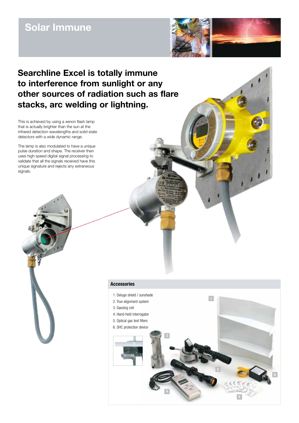### **Solar Immune**



### **Searchline Excel is totally immune to interference from sunlight or any other sources of radiation such as flare stacks, arc welding or lightning.**

This is achieved by using a xenon flash lamp that is actually brighter than the sun at the infrared detection wavelengths and solid state detectors with a wide dynamic range.

The lamp is also modulated to have a unique pulse duration and shape. The receiver then uses high speed digital signal processing to validate that all the signals received have this unique signature and rejects any extraneous signals.



#### **Accessories**

- 1. Deluge shield / sunshade
- 2. True alignment system
- 3. Gassing cell
- 4. Hand-held interrogator
- 5. Optical gas test filters
- 

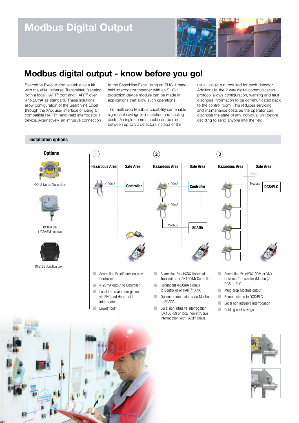

### **Modbus digital output - know before you go!**

Searchline Excel is also available as a kit with the XNX Universal Transmitter, featuring both a local HART® port and HART® over 4 to 20mA as standard. These solutions allow configuration of the Searchline Excel through the XNX user interface or using a compatible HART® hand-held interrogator 1 device. Alternatively, an intrusive connection

**Installation options**

to the Searchline Excel using an SHC-1 handheld interrogator together with an SHC-1 protection device module can be made in applications that allow such operations.

The multi drop Modbus capability can enable significant savings in installation and cabling costs. A single comms cable can be run between up to 32 detectors instead of the

usual 'single run' required for each detector. Additionally, the 2 way digital communication protocol allows configuration, warning and fault diagnosis information to be communicated back to the control room. This reduces servicing and maintenance costs as the operator can diagnose the state of any individual unit before deciding to send anyone into the field.





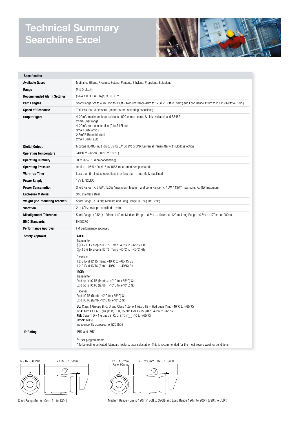### **Technical Summary Searchline Excel**



| <b>Specification</b>              |                                                                                                                                                                                                                                                                                                                                                                                                                                                                                                                                                                                                                                                                                                                                                                                                                                                                                                                                                                        |
|-----------------------------------|------------------------------------------------------------------------------------------------------------------------------------------------------------------------------------------------------------------------------------------------------------------------------------------------------------------------------------------------------------------------------------------------------------------------------------------------------------------------------------------------------------------------------------------------------------------------------------------------------------------------------------------------------------------------------------------------------------------------------------------------------------------------------------------------------------------------------------------------------------------------------------------------------------------------------------------------------------------------|
| <b>Available Gases</b>            | Methane, Ethane, Propane, Butane, Pentane, Ethylene, Propylene, Butadiene                                                                                                                                                                                                                                                                                                                                                                                                                                                                                                                                                                                                                                                                                                                                                                                                                                                                                              |
| Range                             | 0 to 5 LEL.m                                                                                                                                                                                                                                                                                                                                                                                                                                                                                                                                                                                                                                                                                                                                                                                                                                                                                                                                                           |
| <b>Recommended Alarm Settings</b> | (Low) 1.0 LEL.m; (high) 3.0 LEL.m                                                                                                                                                                                                                                                                                                                                                                                                                                                                                                                                                                                                                                                                                                                                                                                                                                                                                                                                      |
| Path Lengths                      | Short Range 5m to 40m (15ft to 130ft.), Medium Range 40m to 120m (130ft to 390ft.) and Long Range 120m to 200m (390ft to 650ft.)                                                                                                                                                                                                                                                                                                                                                                                                                                                                                                                                                                                                                                                                                                                                                                                                                                       |
| <b>Speed of Response</b>          | T90 less than 3 seconds. (under normal operating conditions)                                                                                                                                                                                                                                                                                                                                                                                                                                                                                                                                                                                                                                                                                                                                                                                                                                                                                                           |
| <b>Output Signal</b>              | 4-20mA (maximum loop resistance 600 ohms; source & sink available) and RS485<br>21mA Over range<br>4-20mA Normal operation (0 to 5 LEL.m)<br>3mA(1) Dirty optics<br>2.5mA <sup>(1)</sup> Beam blocked<br>2mA <sup>(1)</sup> OmA Fault                                                                                                                                                                                                                                                                                                                                                                                                                                                                                                                                                                                                                                                                                                                                  |
| <b>Digital Output</b>             | Modbus RS485 multi drop. Using DX100 (M) or XNX Universal Transmitter with Modbus option                                                                                                                                                                                                                                                                                                                                                                                                                                                                                                                                                                                                                                                                                                                                                                                                                                                                               |
| <b>Operating Temperature</b>      | -40°C to +65°C (-40°F to 150°F)                                                                                                                                                                                                                                                                                                                                                                                                                                                                                                                                                                                                                                                                                                                                                                                                                                                                                                                                        |
| <b>Operating Humidity</b>         | 0 to 99% RH (non-condensing)                                                                                                                                                                                                                                                                                                                                                                                                                                                                                                                                                                                                                                                                                                                                                                                                                                                                                                                                           |
| <b>Operating Pressure</b>         | 91.5 to 105.5 KPa (915 to 1055 mbar) (non-compensated)                                                                                                                                                                                                                                                                                                                                                                                                                                                                                                                                                                                                                                                                                                                                                                                                                                                                                                                 |
| <b>Warm-up Time</b>               | Less than 5 minutes (operational), or less than 1 hour (fully stabilised)                                                                                                                                                                                                                                                                                                                                                                                                                                                                                                                                                                                                                                                                                                                                                                                                                                                                                              |
| <b>Power Supply</b>               | 18V to 32VDC                                                                                                                                                                                                                                                                                                                                                                                                                                                                                                                                                                                                                                                                                                                                                                                                                                                                                                                                                           |
| <b>Power Consumption</b>          | Short Range Tx: 3.5W / 5.0W *maximum. Medium and Long Range Tx: 10W / 13W* maximum. Rx: 8W maximum.                                                                                                                                                                                                                                                                                                                                                                                                                                                                                                                                                                                                                                                                                                                                                                                                                                                                    |
| <b>Enclosure Material</b>         | 316 stainless steel                                                                                                                                                                                                                                                                                                                                                                                                                                                                                                                                                                                                                                                                                                                                                                                                                                                                                                                                                    |
| Weight (inc. mounting bracket)    | Short Range TX: 3.5kg Medium and Long Range TX: 7kg RX: 3.5kg                                                                                                                                                                                                                                                                                                                                                                                                                                                                                                                                                                                                                                                                                                                                                                                                                                                                                                          |
| <b>Vibration</b>                  | 2 to 60Hz, max ptp amplitude 1mm.                                                                                                                                                                                                                                                                                                                                                                                                                                                                                                                                                                                                                                                                                                                                                                                                                                                                                                                                      |
| <b>Misalignment Tolerance</b>     | Short Range $\pm 0.5^{\circ}$ ( $\pm \sim 35$ cm at 40m). Medium Range $\pm 0.5^{\circ}$ ( $\pm \sim 104$ cm at 120m). Long Range $\pm 0.5^{\circ}$ ( $\pm \sim 170$ cm at 200m)                                                                                                                                                                                                                                                                                                                                                                                                                                                                                                                                                                                                                                                                                                                                                                                       |
| <b>EMC Standards</b>              | EN50270                                                                                                                                                                                                                                                                                                                                                                                                                                                                                                                                                                                                                                                                                                                                                                                                                                                                                                                                                                |
| <b>Performance Approval</b>       | FM performance approved                                                                                                                                                                                                                                                                                                                                                                                                                                                                                                                                                                                                                                                                                                                                                                                                                                                                                                                                                |
| <b>Safety Approval</b>            | <b>ATEX</b><br>Transmitter:<br>$\gtrapprox$ II 2 G Ex d op is IIC T5 (Tamb -40°C to +65°C) Gb<br>$\bullet$ II 2 G Ex d op is IIC T6 (Tamb -40°C to +40°C) Gb<br>Receiver:<br>II 2 G Ex d IIC T5 (Tamb -40°C to +65°C) Gb<br>II 2 G Ex d IIC T6 (Tamb -40 $\degree$ C to +40 $\degree$ C) Gb<br><b>IECEX</b><br>Transmitter:<br>Ex d op is IIC T5 (Tamb =-40°C to +65°C) Gb<br>Ex d op is IIC T6 (Tamb =-40 $^{\circ}$ C to +40 $^{\circ}$ C) Gb<br>Receiver:<br>Ex d IIC T5 (Tamb -40°C to +65°C) Gb<br>Ex d IIC T6 (Tamb -40 $\degree$ C to +40 $\degree$ C) Gb<br><b>UL:</b> Class 1 Groups B, C, D and Class 1 Zone 1 AEx d IIB + Hydrogen (Amb -40 $^{\circ}$ C to +65 $^{\circ}$ C)<br><b>CSA:</b> Class 1 Div 1 groups B, C, D, T5 and Exd IIC T5 (Amb -40 $^{\circ}$ C to +65 $^{\circ}$ C)<br><b>FM:</b> Class 1 Div 1 groups B, C, D & T5 $(T_{\text{amb}} - 40 \text{ to } +65^{\circ}\text{C})$<br><b>Other: GOST</b><br>Independently assessed to IEC61508 |
| <b>IP Rating</b>                  | IP66 and IP67                                                                                                                                                                                                                                                                                                                                                                                                                                                                                                                                                                                                                                                                                                                                                                                                                                                                                                                                                          |
|                                   | <sup>(1)</sup> User programmable.<br>* Turboheating activated (standard feature; user selectable). This is recommended for the most severe weather conditions.                                                                                                                                                                                                                                                                                                                                                                                                                                                                                                                                                                                                                                                                                                                                                                                                         |





 $Tx = 137$ mm<br> $Rx = 80$ mm  $Tx = 235$ mm  $Rx = 185$ mm  $\odot$ 

Short Range 5m to 40m (15ft to 130ft) Medium Range 40m to 120m (130ft to 390ft) and Long Range 120m to 200m (390ft to 650ft)